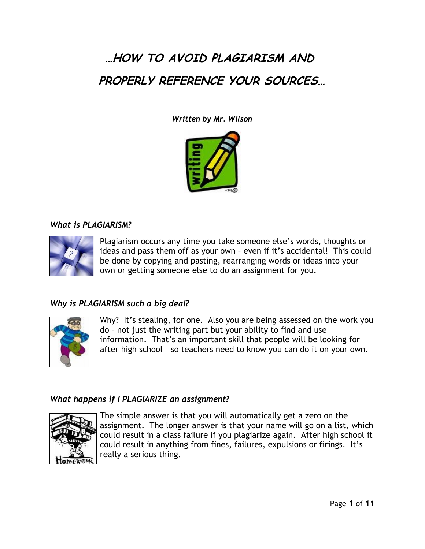# **…HOW TO AVOID PLAGIARISM AND PROPERLY REFERENCE YOUR SOURCES…**

*Written by Mr. Wilson*



### *What is PLAGIARISM?*



Plagiarism occurs any time you take someone else's words, thoughts or ideas and pass them off as your own – even if it's accidental! This could be done by copying and pasting, rearranging words or ideas into your own or getting someone else to do an assignment for you.

# *Why is PLAGIARISM such a big deal?*



Why? It's stealing, for one. Also you are being assessed on the work you do – not just the writing part but your ability to find and use information. That's an important skill that people will be looking for after high school – so teachers need to know you can do it on your own.

# *What happens if I PLAGIARIZE an assignment?*



The simple answer is that you will automatically get a zero on the assignment. The longer answer is that your name will go on a list, which could result in a class failure if you plagiarize again. After high school it could result in anything from fines, failures, expulsions or firings. It's really a serious thing.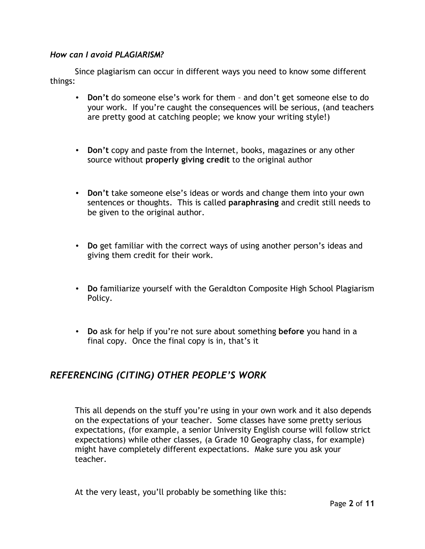## *How can I avoid PLAGIARISM?*

Since plagiarism can occur in different ways you need to know some different things:

- **Don't** do someone else's work for them and don't get someone else to do your work. If you're caught the consequences will be serious, (and teachers are pretty good at catching people; we know your writing style!)
- **Don't** copy and paste from the Internet, books, magazines or any other source without **properly giving credit** to the original author
- **Don't** take someone else's ideas or words and change them into your own sentences or thoughts. This is called **paraphrasing** and credit still needs to be given to the original author.
- **Do** get familiar with the correct ways of using another person's ideas and giving them credit for their work.
- **Do** familiarize yourself with the Geraldton Composite High School Plagiarism Policy.
- **Do** ask for help if you're not sure about something **before** you hand in a final copy. Once the final copy is in, that's it

# *REFERENCING (CITING) OTHER PEOPLE'S WORK*

This all depends on the stuff you're using in your own work and it also depends on the expectations of your teacher. Some classes have some pretty serious expectations, (for example, a senior University English course will follow strict expectations) while other classes, (a Grade 10 Geography class, for example) might have completely different expectations. Make sure you ask your teacher.

At the very least, you'll probably be something like this: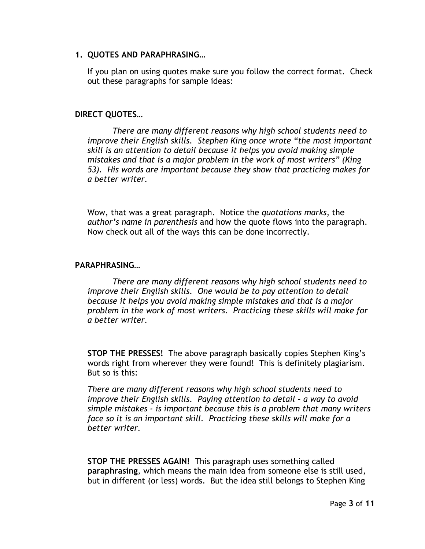### **1. QUOTES AND PARAPHRASING…**

If you plan on using quotes make sure you follow the correct format. Check out these paragraphs for sample ideas:

### **DIRECT QUOTES…**

*There are many different reasons why high school students need to improve their English skills. Stephen King once wrote "the most important skill is an attention to detail because it helps you avoid making simple mistakes and that is a major problem in the work of most writers" (King 53). His words are important because they show that practicing makes for a better writer.*

Wow, that was a great paragraph. Notice the *quotations marks*, the *author's name in parenthesis* and how the quote flows into the paragraph. Now check out all of the ways this can be done incorrectly.

#### **PARAPHRASING…**

*There are many different reasons why high school students need to improve their English skills. One would be to pay attention to detail because it helps you avoid making simple mistakes and that is a major problem in the work of most writers. Practicing these skills will make for a better writer.*

**STOP THE PRESSES!** The above paragraph basically copies Stephen King's words right from wherever they were found! This is definitely plagiarism. But so is this:

*There are many different reasons why high school students need to improve their English skills. Paying attention to detail – a way to avoid simple mistakes - is important because this is a problem that many writers face so it is an important skill. Practicing these skills will make for a better writer.*

**STOP THE PRESSES AGAIN!** This paragraph uses something called **paraphrasing**, which means the main idea from someone else is still used, but in different (or less) words. But the idea still belongs to Stephen King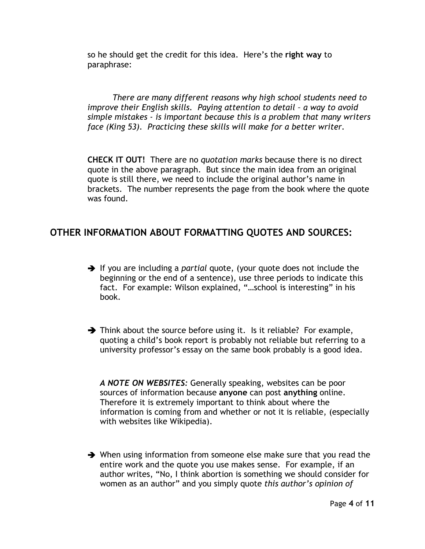so he should get the credit for this idea. Here's the **right way** to paraphrase:

*There are many different reasons why high school students need to improve their English skills. Paying attention to detail – a way to avoid simple mistakes - is important because this is a problem that many writers face (King 53). Practicing these skills will make for a better writer.*

**CHECK IT OUT!** There are no *quotation marks* because there is no direct quote in the above paragraph. But since the main idea from an original quote is still there, we need to include the original author's name in brackets. The number represents the page from the book where the quote was found.

# **OTHER INFORMATION ABOUT FORMATTING QUOTES AND SOURCES:**

- → If you are including a *partial* quote, (your quote does not include the beginning or the end of a sentence), use three periods to indicate this fact. For example: Wilson explained, "…school is interesting" in his book.
- $\rightarrow$  Think about the source before using it. Is it reliable? For example, quoting a child's book report is probably not reliable but referring to a university professor's essay on the same book probably is a good idea.

*A NOTE ON WEBSITES:* Generally speaking, websites can be poor sources of information because **anyone** can post **anything** online. Therefore it is extremely important to think about where the information is coming from and whether or not it is reliable, (especially with websites like Wikipedia).

 $\rightarrow$  When using information from someone else make sure that you read the entire work and the quote you use makes sense. For example, if an author writes, "No, I think abortion is something we should consider for women as an author" and you simply quote *this author's opinion of*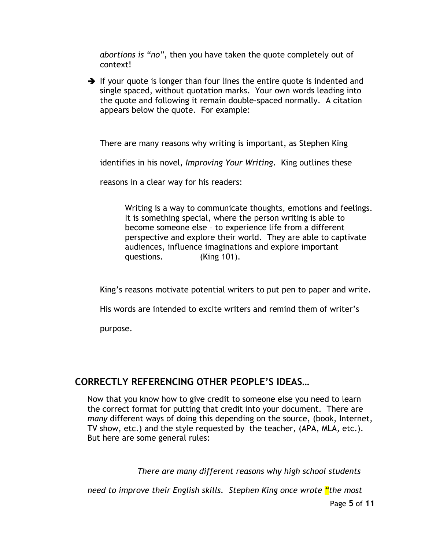*abortions is "no"*, then you have taken the quote completely out of context!

 $\rightarrow$  If your quote is longer than four lines the entire quote is indented and single spaced, without quotation marks. Your own words leading into the quote and following it remain double-spaced normally. A citation appears below the quote. For example:

There are many reasons why writing is important, as Stephen King

identifies in his novel, *Improving Your Writing*. King outlines these

reasons in a clear way for his readers:

Writing is a way to communicate thoughts, emotions and feelings. It is something special, where the person writing is able to become someone else – to experience life from a different perspective and explore their world. They are able to captivate audiences, influence imaginations and explore important questions. (King 101).

King's reasons motivate potential writers to put pen to paper and write.

His words are intended to excite writers and remind them of writer's

purpose.

# **CORRECTLY REFERENCING OTHER PEOPLE'S IDEAS…**

Now that you know how to give credit to someone else you need to learn the correct format for putting that credit into your document. There are *many* different ways of doing this depending on the source, (book, Internet, TV show, etc.) and the style requested by the teacher, (APA, MLA, etc.). But here are some general rules:

*There are many different reasons why high school students*

*need to improve their English skills. Stephen King once wrote "the most*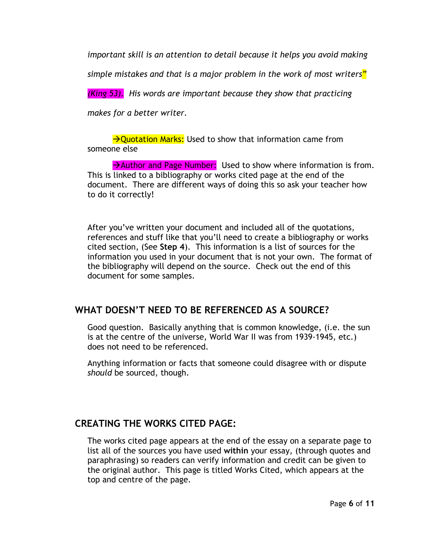*important skill is an attention to detail because it helps you avoid making*

*simple mistakes and that is a major problem in the work of most writers"*

*(King 53). His words are important because they show that practicing*

*makes for a better writer.*

 $\rightarrow$ Ouotation Marks: Used to show that information came from someone else

 $\rightarrow$  Author and Page Number: Used to show where information is from. This is linked to a bibliography or works cited page at the end of the document. There are different ways of doing this so ask your teacher how to do it correctly!

After you've written your document and included all of the quotations, references and stuff like that you'll need to create a bibliography or works cited section, (See **Step 4**). This information is a list of sources for the information you used in your document that is not your own. The format of the bibliography will depend on the source. Check out the end of this document for some samples.

# **WHAT DOESN'T NEED TO BE REFERENCED AS A SOURCE?**

Good question. Basically anything that is common knowledge, (i.e. the sun is at the centre of the universe, World War II was from 1939-1945, etc.) does not need to be referenced.

Anything information or facts that someone could disagree with or dispute *should* be sourced, though.

# **CREATING THE WORKS CITED PAGE:**

The works cited page appears at the end of the essay on a separate page to list all of the sources you have used **within** your essay, (through quotes and paraphrasing) so readers can verify information and credit can be given to the original author. This page is titled Works Cited, which appears at the top and centre of the page.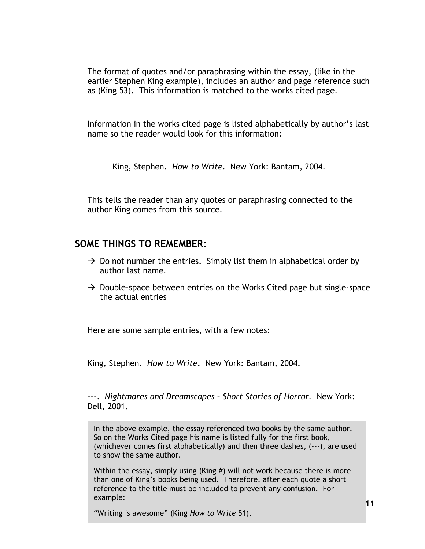The format of quotes and/or paraphrasing within the essay, (like in the earlier Stephen King example), includes an author and page reference such as (King 53). This information is matched to the works cited page.

Information in the works cited page is listed alphabetically by author's last name so the reader would look for this information:

King, Stephen. *How to Write*. New York: Bantam, 2004.

This tells the reader than any quotes or paraphrasing connected to the author King comes from this source.

# **SOME THINGS TO REMEMBER:**

- $\rightarrow$  Do not number the entries. Simply list them in alphabetical order by author last name.
- $\rightarrow$  Double-space between entries on the Works Cited page but single-space the actual entries

Here are some sample entries, with a few notes:

King, Stephen. *How to Write*. New York: Bantam, 2004.

---. *Nightmares and Dreamscapes – Short Stories of Horror*. New York: Dell, 2001.

In the above example, the essay referenced two books by the same author. So on the Works Cited page his name is listed fully for the first book, (whichever comes first alphabetically) and then three dashes, (---), are used to show the same author.

Within the essay, simply using (King #) will not work because there is more than one of King's books being used. Therefore, after each quote a short reference to the title must be included to prevent any confusion. For example:

"Writing is awesome" (King *How to Write* 51).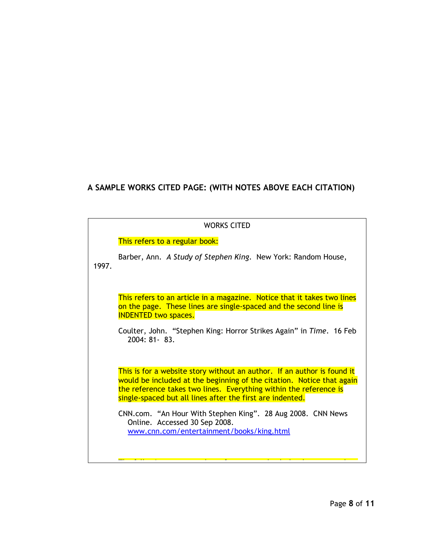# **A SAMPLE WORKS CITED PAGE: (WITH NOTES ABOVE EACH CITATION)**

### WORKS CITED

#### This refers to a regular book:

Barber, Ann. *A Study of Stephen King*. New York: Random House, 1997.

This refers to an article in a magazine. Notice that it takes two lines on the page. These lines are single-spaced and the second line is INDENTED two spaces.

Coulter, John. "Stephen King: Horror Strikes Again" in *Time*. 16 Feb 2004: 81- 83.

This is for a website story without an author. If an author is found it would be included at the beginning of the citation. Notice that again the reference takes two lines. Everything within the reference is single-spaced but all lines after the first are indented.

CNN.com. "An Hour With Stephen King". 28 Aug 2008. CNN News Online. Accessed 30 Sep 2008. [www.cnn.com/entertainment/books/king.html](http://www.cnn.com/entertainment/books/king.html)

The following two examples reference two books by the same author. The same author  $\mathcal{L}_{\mathcal{A}}$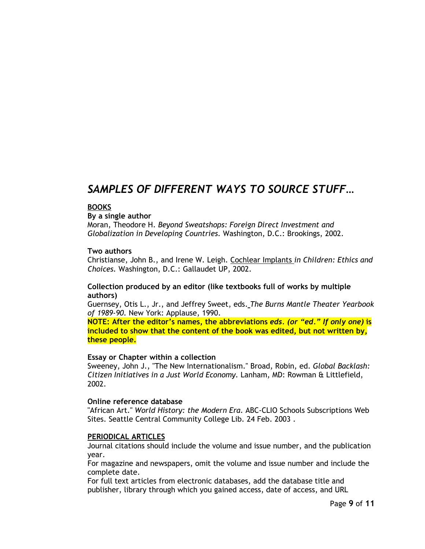# *SAMPLES OF DIFFERENT WAYS TO SOURCE STUFF…*

#### **BOOKS**

**By a single author**

Moran, Theodore H. *Beyond Sweatshops: Foreign Direct Investment and Globalization in Developing Countries.* Washington, D.C.: Brookings, 2002.

#### **Two authors**

Christianse, John B., and Irene W. Leigh. Cochlear Implants *in Children: Ethics and Choices.* Washington, D.C.: Gallaudet UP, 2002.

#### **Collection produced by an editor (like textbooks full of works by multiple authors)**

Guernsey, Otis L., Jr., and Jeffrey Sweet, eds. *The Burns Mantle Theater Yearbook of 1989-90.* New York: Applause, 1990.

**NOTE: After the editor's names, the abbreviations** *eds. (or "ed." If only one)* **is included to show that the content of the book was edited, but not written by, these people.**

#### **Essay or Chapter within a collection**

Sweeney, John J., "The New Internationalism." Broad, Robin, ed. *Global Backlash: Citizen Initiatives in a Just World Economy.* Lanham, MD: Rowman & Littlefield, 2002.

#### **Online reference database**

"African Art." *World History: the Modern Era.* ABC-CLIO Schools Subscriptions Web Sites. Seattle Central Community College Lib. 24 Feb. 2003 .

#### **PERIODICAL ARTICLES**

Journal citations should include the volume and issue number, and the publication year.

For magazine and newspapers, omit the volume and issue number and include the complete date.

For full text articles from electronic databases, add the database title and publisher, library through which you gained access, date of access, and URL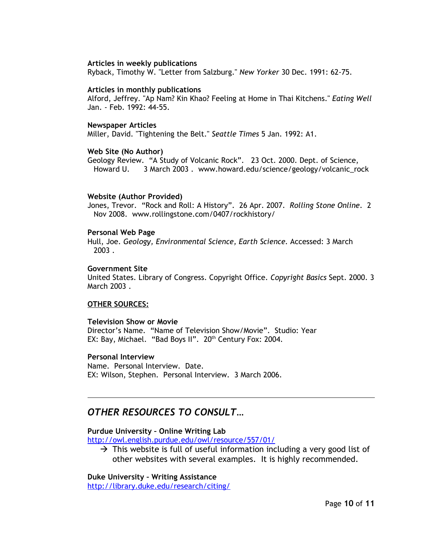#### **Articles in weekly publications**

Ryback, Timothy W. "Letter from Salzburg." *New Yorker* 30 Dec. 1991: 62-75.

#### **Articles in monthly publications**

Alford, Jeffrey. "Ap Nam? Kin Khao? Feeling at Home in Thai Kitchens." *Eating Well* Jan. - Feb. 1992: 44-55.

#### **Newspaper Articles**

Miller, David. "Tightening the Belt." *Seattle Times* 5 Jan. 1992: A1.

#### **Web Site (No Author)**

Geology Review. "A Study of Volcanic Rock". 23 Oct. 2000. Dept. of Science, Howard U. 3 March 2003. www.howard.edu/science/geology/volcanic\_rock

#### **Website (Author Provided)**

Jones, Trevor. "Rock and Roll: A History". 26 Apr. 2007. *Rolling Stone Online*. 2 Nov 2008. www.rollingstone.com/0407/rockhistory/

#### **Personal Web Page**

Hull, Joe. *Geology, Environmental Science, Earth Science.* Accessed: 3 March 2003 .

#### **Government Site**

United States. Library of Congress. Copyright Office. *Copyright Basics* Sept. 2000. 3 March 2003 .

#### **OTHER SOURCES:**

#### **Television Show or Movie**

Director's Name. "Name of Television Show/Movie". Studio: Year EX: Bay, Michael. "Bad Boys II". 20<sup>th</sup> Century Fox: 2004.

#### **Personal Interview**

Name. Personal Interview. Date. EX: Wilson, Stephen. Personal Interview. 3 March 2006.

### *OTHER RESOURCES TO CONSULT…*

#### **Purdue University – Online Writing Lab**

<http://owl.english.purdue.edu/owl/resource/557/01/>

 $\rightarrow$  This website is full of useful information including a very good list of other websites with several examples. It is highly recommended.

**Duke University – Writing Assistance**

<http://library.duke.edu/research/citing/>